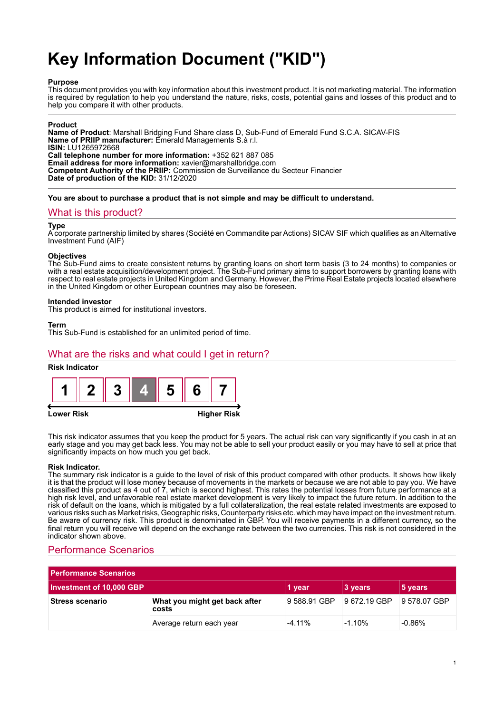# **Key Information Document ("KID")**

## **Purpose**

This document provides you with key information about this investment product. It is not marketing material. The information is required by regulation to help you understand the nature, risks, costs, potential gains and losses of this product and to help you compare it with other products.

## **Product**

**Name of Product**: Marshall Bridging Fund Share class D, Sub-Fund of Emerald Fund S.C.A. SICAV-FIS **Name of PRIIP manufacturer:** Emerald Managements S.à r.l. **ISIN:** LU1265972668 **Call telephone number for more information:** +352 621 887 085 **Email address for more information:** xavier@marshallbridge.com **Competent Authority of the PRIIP:** Commission de Surveillance du Secteur Financier **Date of production of the KID:** 31/12/2020

**You are about to purchase a product that is not simple and may be difficult to understand.**

## What is this product?

#### **Type**

A corporate partnership limited by shares (Société en Commandite par Actions) SICAV SIF which qualifies as an Alternative Investment Fund (AIF)

#### **Objectives**

The Sub-Fund aims to create consistent returns by granting loans on short term basis (3 to 24 months) to companies or with a real estate acquisition/development project. The Sub-Fund primary aims to support borrowers by granting loans with respect to real estate projects in United Kingdom and Germany. However, the Prime Real Estate projects located elsewhere in the United Kingdom or other European countries may also be foreseen.

#### **Intended investor**

This product is aimed for institutional investors.

#### **Term**

This Sub-Fund is established for an unlimited period of time.

## What are the risks and what could I get in return?

## **Risk Indicator**



This risk indicator assumes that you keep the product for 5 years. The actual risk can vary significantly if you cash in at an early stage and you may get back less. You may not be able to sell your product easily or you may have to sell at price that significantly impacts on how much you get back.

#### **Risk Indicator.**

The summary risk indicator is a guide to the level of risk of this product compared with other products. It shows how likely it is that the product will lose money because of movements in the markets or because we are not able to pay you. We have classified this product as 4 out of 7, which is second highest. This rates the potential losses from future performance at a high risk level, and unfavorable real estate market development is very likely to impact the future return. In addition to the risk of default on the loans, which is mitigated by a full collateralization, the real estate related investments are exposed to various risks such as Market risks, Geographic risks, Counterparty risks etc. which may have impact on the investment return. Be aware of currency risk. This product is denominated in GBP. You will receive payments in a different currency, so the final return you will receive will depend on the exchange rate between the two currencies. This risk is not considered in the indicator shown above.

## Performance Scenarios

| <b>Performance Scenarios</b> |                                        |              |              |              |
|------------------------------|----------------------------------------|--------------|--------------|--------------|
| Investment of 10,000 GBP     |                                        | 1 year       | 3 years      | 5 years      |
| <b>Stress scenario</b>       | What you might get back after<br>costs | 9 588.91 GBP | 9 672.19 GBP | 9 578.07 GBP |
|                              | Average return each year               | $-4.11%$     | $-1.10%$     | $-0.86%$     |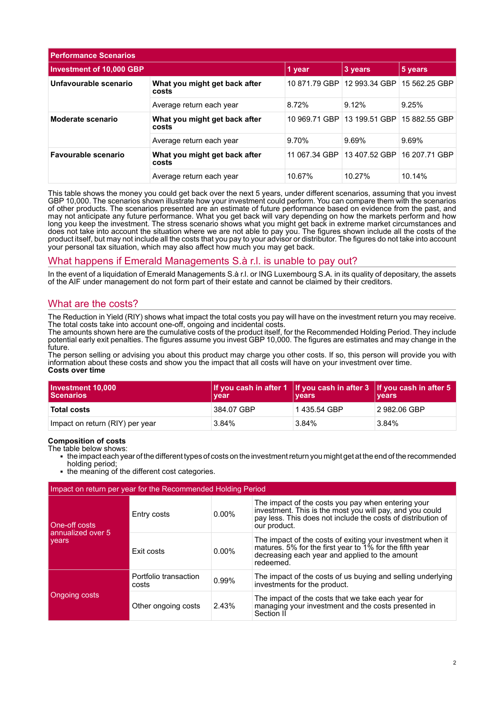| <b>Performance Scenarios</b>    |                                        |               |               |               |
|---------------------------------|----------------------------------------|---------------|---------------|---------------|
| <b>Investment of 10,000 GBP</b> |                                        | 1 year        | 3 years       | 5 years       |
| Unfavourable scenario           | What you might get back after<br>costs | 10 871.79 GBP | 12 993.34 GBP | 15 562.25 GBP |
|                                 | Average return each year               | 8.72%         | 9.12%         | 9.25%         |
| Moderate scenario               | What you might get back after<br>costs | 10 969.71 GBP | 13 199.51 GBP | 15 882.55 GBP |
|                                 | Average return each year               | 9.70%         | 9.69%         | 9.69%         |
| Favourable scenario             | What you might get back after<br>costs | 11 067.34 GBP | 13 407.52 GBP | 16 207.71 GBP |
|                                 | Average return each year               | 10.67%        | 10.27%        | 10.14%        |

This table shows the money you could get back over the next 5 years, under different scenarios, assuming that you invest GBP 10,000. The scenarios shown illustrate how your investment could perform. You can compare them with the scenarios of other products. The scenarios presented are an estimate of future performance based on evidence from the past, and may not anticipate any future performance. What you get back will vary depending on how the markets perform and how long you keep the investment. The stress scenario shows what you might get back in extreme market circumstances and does not take into account the situation where we are not able to pay you. The figures shown include all the costs of the product itself, but may not include all the costs that you pay to your advisor or distributor. The figures do not take into account your personal tax situation, which may also affect how much you may get back.

## What happens if Emerald Managements S.à r.l. is unable to pay out?

In the event of a liquidation of Emerald Managements S.à r.l. or ING Luxembourg S.A. in its quality of depositary, the assets of the AIF under management do not form part of their estate and cannot be claimed by their creditors.

## What are the costs?

The Reduction in Yield (RIY) shows what impact the total costs you pay will have on the investment return you may receive. The total costs take into account one-off, ongoing and incidental costs.

The amounts shown here are the cumulative costs of the product itself, for the Recommended Holding Period. They include potential early exit penalties. The figures assume you invest GBP 10,000. The figures are estimates and may change in the future.

The person selling or advising you about this product may charge you other costs. If so, this person will provide you with information about these costs and show you the impact that all costs will have on your investment over time. **Costs over time**

| Investment 10,000<br><b>Scenarios</b> | If you cash in after 1 If you cash in after $3$ If you cash in after 5<br>vear | <b>vears</b> | <b>vears</b> |
|---------------------------------------|--------------------------------------------------------------------------------|--------------|--------------|
| <b>Total costs</b>                    | 384.07 GBP                                                                     | 1435.54 GBP  | 2 982.06 GBP |
| Impact on return (RIY) per year       | 3.84%                                                                          | $3.84\%$     | 3.84%        |

## **Composition of costs**

The table below shows:

- 1 the impact each year of the different types of costs on the investment return you might get at the end of the recommended holding period;
- the meaning of the different cost categories.

| Impact on return per year for the Recommended Holding Period |                                |          |                                                                                                                                                                                                |  |
|--------------------------------------------------------------|--------------------------------|----------|------------------------------------------------------------------------------------------------------------------------------------------------------------------------------------------------|--|
| One-off costs<br>annualized over 5<br>vears                  | Entry costs                    | $0.00\%$ | The impact of the costs you pay when entering your<br>investment. This is the most you will pay, and you could<br>pay less. This does not include the costs of distribution of<br>our product. |  |
|                                                              | Exit costs                     | $0.00\%$ | The impact of the costs of exiting your investment when it<br>matures. 5% for the first year to 1% for the fifth year<br>decreasing each year and applied to the amount<br>redeemed.           |  |
| Ongoing costs                                                | Portfolio transaction<br>costs | 0.99%    | The impact of the costs of us buying and selling underlying<br>investments for the product.                                                                                                    |  |
|                                                              | Other ongoing costs            | 2.43%    | The impact of the costs that we take each year for<br>managing your investment and the costs presented in<br>Section II                                                                        |  |